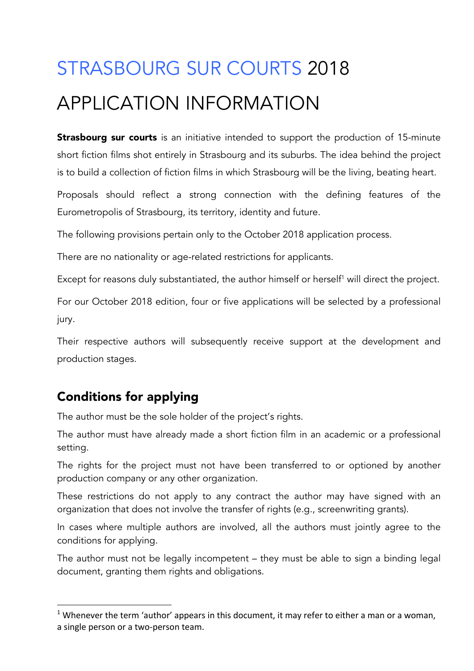# STRASBOURG SUR COURTS 2018 APPLICATION INFORMATION

**Strasbourg sur courts** is an initiative intended to support the production of 15-minute short fiction films shot entirely in Strasbourg and its suburbs. The idea behind the project is to build a collection of fiction films in which Strasbourg will be the living, beating heart.

Proposals should reflect a strong connection with the defining features of the Eurometropolis of Strasbourg, its territory, identity and future.

The following provisions pertain only to the October 2018 application process.

There are no nationality or age-related restrictions for applicants.

Except for reasons duly substantiated, the author himself or herself<sup>1</sup> will direct the project.

For our October 2018 edition, four or five applications will be selected by a professional jury.

Their respective authors will subsequently receive support at the development and production stages.

#### Conditions for applying

 

The author must be the sole holder of the project's rights.

The author must have already made a short fiction film in an academic or a professional setting.

The rights for the project must not have been transferred to or optioned by another production company or any other organization.

These restrictions do not apply to any contract the author may have signed with an organization that does not involve the transfer of rights (e.g., screenwriting grants).

In cases where multiple authors are involved, all the authors must jointly agree to the conditions for applying.

The author must not be legally incompetent – they must be able to sign a binding legal document, granting them rights and obligations.

<sup>&</sup>lt;sup>1</sup> Whenever the term 'author' appears in this document, it may refer to either a man or a woman, a single person or a two-person team.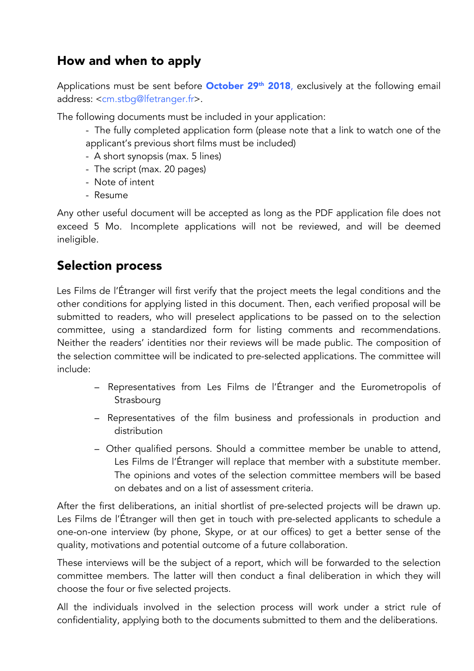### How and when to apply

Applications must be sent before **October 29<sup>th</sup> 2018**, exclusively at the following email address: <cm.stbg@lfetranger.fr>.

The following documents must be included in your application:

- The fully completed application form (please note that a link to watch one of the applicant's previous short films must be included)
- A short synopsis (max. 5 lines)
- The script (max. 20 pages)
- Note of intent
- Resume

Any other useful document will be accepted as long as the PDF application file does not exceed 5 Mo. Incomplete applications will not be reviewed, and will be deemed ineligible.

#### Selection process

Les Films de l'Étranger will first verify that the project meets the legal conditions and the other conditions for applying listed in this document. Then, each verified proposal will be submitted to readers, who will preselect applications to be passed on to the selection committee, using a standardized form for listing comments and recommendations. Neither the readers' identities nor their reviews will be made public. The composition of the selection committee will be indicated to pre-selected applications. The committee will include:

- Representatives from Les Films de l'Étranger and the Eurometropolis of Strasbourg
- Representatives of the film business and professionals in production and distribution
- Other qualified persons. Should a committee member be unable to attend, Les Films de l'Étranger will replace that member with a substitute member. The opinions and votes of the selection committee members will be based on debates and on a list of assessment criteria.

After the first deliberations, an initial shortlist of pre-selected projects will be drawn up. Les Films de l'Étranger will then get in touch with pre-selected applicants to schedule a one-on-one interview (by phone, Skype, or at our offices) to get a better sense of the quality, motivations and potential outcome of a future collaboration.

These interviews will be the subject of a report, which will be forwarded to the selection committee members. The latter will then conduct a final deliberation in which they will choose the four or five selected projects.

All the individuals involved in the selection process will work under a strict rule of confidentiality, applying both to the documents submitted to them and the deliberations.